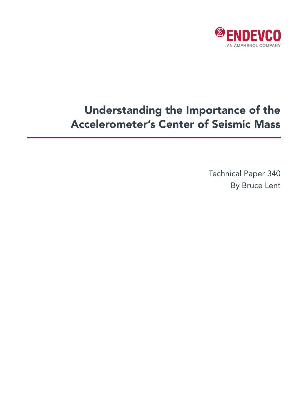

# Understanding the Importance of the Accelerometer's Center of Seismic Mass

Technical Paper 340 By Bruce Lent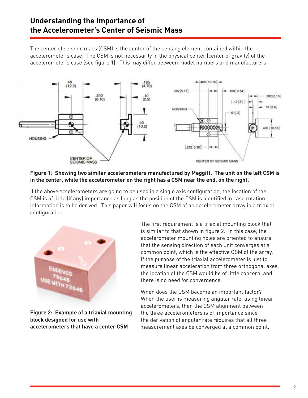# **Understanding the Importance of the Accelerometer's Center of Seismic Mass**

The center of seismic mass (CSM) is the center of the sensing element contained within the accelerometer's case. The CSM is not necessarily in the physical center (center of gravity) of the accelerometer's case (see figure 1). This may differ between model numbers and manufacturers.



#### **Figure 1: Showing two similar accelerometers manufactured by Meggitt. The unit on the left CSM is in the center, while the accelerometer on the right has a CSM near the end, on the right.**

If the above accelerometers are going to be used in a single axis configuration, the location of the CSM is of little (if any) importance as long as the position of the CSM is identified in case rotation information is to be derived. This paper will focus on the CSM of an accelerometer array in a triaxial configuration.



**Figure 2: Example of a triaxial mounting block designed for use with accelerometers that have a center CSM**

The first requirement is a triaxial mounting block that is similar to that shown in figure 2. In this case, the accelerometer mounting holes are oriented to ensure that the sensing direction of each unit converges at a common point, which is the effective CSM of the array. If the purpose of the triaxial accelerometer is just to measure linear acceleration from three orthogonal axes, the location of the CSM would be of little concern, and there is no need for convergence.

When does the CSM become an important factor? When the user is measuring angular rate, using linear accelerometers, then the CSM alignment between the three accelerometers is of importance since the derivation of angular rate requires that all three measurement axes be converged at a common point.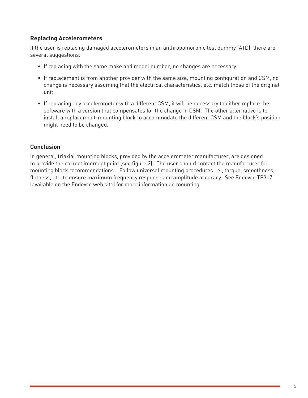## **Replacing Accelerometers**

If the user is replacing damaged accelerometers in an anthropomorphic test dummy (ATD), there are several suggestions:

- If replacing with the same make and model number, no changes are necessary.
- If replacement is from another provider with the same size, mounting configuration and CSM, no change is necessary assuming that the electrical characteristics, etc. match those of the original unit.
- If replacing any accelerometer with a different CSM, it will be necessary to either replace the software with a version that compensates for the change in CSM. The other alternative is to install a replacement-mounting block to accommodate the different CSM and the block's position might need to be changed.

### **Conclusion**

In general, triaxial mounting blocks, provided by the accelerometer manufacturer, are designed to provide the correct intercept point (see figure 2). The user should contact the manufacturer for mounting block recommendations. Follow universal mounting procedures i.e., torque, smoothness, flatness, etc. to ensure maximum frequency response and amplitude accuracy. See Endevco TP317 (available on the Endevco web site) for more information on mounting.